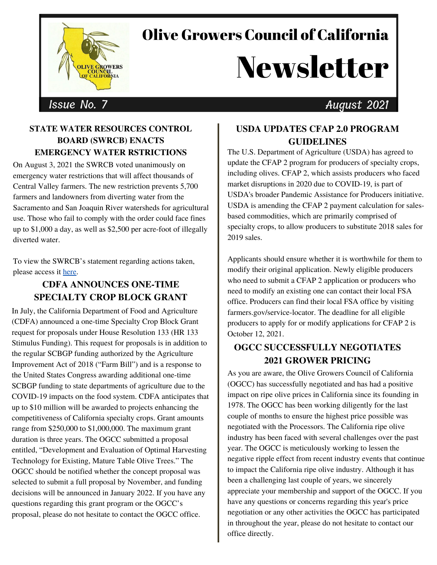

## Olive Growers Council of California

# Newsletter

### Issue No. 7 August 2021

#### **STATE WATER RESOURCES CONTROL BOARD (SWRCB) ENACTS EMERGENCY WATER RSTRICTIONS**

On August 3, 2021 the SWRCB voted unanimously on emergency water restrictions that will affect thousands of Central Valley farmers. The new restriction prevents 5,700 farmers and landowners from diverting water from the Sacramento and San Joaquin River watersheds for agricultural use. Those who fail to comply with the order could face fines up to \$1,000 a day, as well as \$2,500 per acre-foot of illegally diverted water

To view the SWRCB's statement regarding actions taken, please access it [here](https://www.waterboards.ca.gov/press_room/press_releases/2021/pr08042021_delta_emergency_regulation.pdf).

#### **CDFA ANNOUNCES ONE-TIME SPECIALTY CROP BLOCK GRANT**

In July, the California Department of Food and Agriculture (CDFA) announced a one-time Specialty Crop Block Grant request for proposals under House Resolution 133 (HR 133 Stimulus Funding). This request for proposals is in addition to the regular SCBGP funding authorized by the Agriculture Improvement Act of 2018 ("Farm Bill") and is a response to the United States Congress awarding additional one-time SCBGP funding to state departments of agriculture due to the COVID-19 impacts on the food system. CDFA anticipates that up to \$10 million will be awarded to projects enhancing the competitiveness of California specialty crops. Grant amounts range from \$250,000 to \$1,000,000. The maximum grant duration is three years. The OGCC submitted a proposal entitled, "Development and Evaluation of Optimal Harvesting Technology for Existing, Mature Table Olive Trees." The OGCC should be notified whether the concept proposal was selected to submit a full proposal by November, and funding decisions will be announced in January 2022. If you have any questions regarding this grant program or the OGCC's proposal, please do not hesitate to contact the OGCC office.

#### **USDA UPDATES CFAP 2.0 PROGRAM GUIDELINES**

The U.S. Department of Agriculture (USDA) has agreed to update the CFAP 2 program for producers of specialty crops, including olives. CFAP 2, which assists producers who faced market disruptions in 2020 due to COVID-19, is part of USDA's broader Pandemic Assistance for Producers initiative. USDA is amending the CFAP 2 payment calculation for salesbased commodities, which are primarily comprised of specialty crops, to allow producers to substitute 2018 sales for 2019 sales.

Applicants should ensure whether it is worthwhile for them to modify their original application. Newly eligible producers who need to submit a CFAP 2 application or producers who need to modify an existing one can contact their local FSA office. Producers can find their local FSA office by visiting farmers.gov/service-locator. The deadline for all eligible producers to apply for or modify applications for CFAP 2 is October 12, 2021.

#### **OGCC SUCCESSFULLY NEGOTIATES 2021 GROWER PRICING**

As you are aware, the Olive Growers Council of California (OGCC) has successfully negotiated and has had a positive impact on ripe olive prices in California since its founding in 1978. The OGCC has been working diligently for the last couple of months to ensure the highest price possible was negotiated with the Processors. The California ripe olive industry has been faced with several challenges over the past year. The OGCC is meticulously working to lessen the negative ripple effect from recent industry events that continue to impact the California ripe olive industry. Although it has been a challenging last couple of years, we sincerely appreciate your membership and support of the OGCC. If you have any questions or concerns regarding this year's price negotiation or any other activities the OGCC has participated in throughout the year, please do not hesitate to contact our office directly.